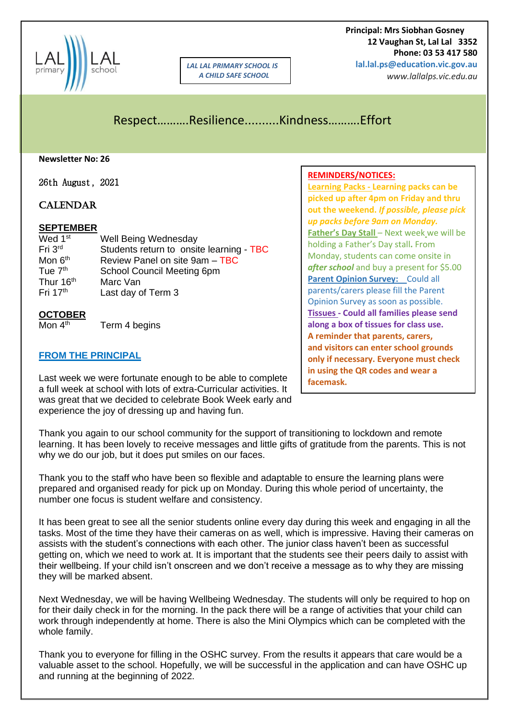

*LAL LAL PRIMARY SCHOOL IS A CHILD SAFE SCHOOL*

 **Principal: Mrs Siobhan Gosney 12 Vaughan St, Lal Lal 3352 Phone: 03 53 417 580 lal.lal.ps@education.vic.gov.au**

*www.lallalps.vic.edu.au* 

# Respect……….Resilience..........Kindness……….Effort

**Newsletter No: 26**

26th August, 2021

#### **CALENDAR**

#### **SEPTEMBER**

| Wed 1 <sup>st</sup>   | Well Being Wednesday                     |
|-----------------------|------------------------------------------|
| Fri 3rd               | Students return to onsite learning - TBC |
| Mon 6 <sup>th</sup>   | Review Panel on site 9am - TBC           |
| Tue 7 <sup>th</sup>   | School Council Meeting 6pm               |
| Thur 16 <sup>th</sup> | Marc Van                                 |
| Fri $17th$            | Last day of Term 3                       |

# **OCTOBER**

 $M$ on 4<sup>th</sup> Term 4 begins

#### **FROM THE PRINCIPAL**

Last week we were fortunate enough to be able to complete a full week at school with lots of extra-Curricular activities. It was great that we decided to celebrate Book Week early and experience the joy of dressing up and having fun.

Thank you again to our school community for the support of transitioning to lockdown and remote learning. It has been lovely to receive messages and little gifts of gratitude from the parents. This is not why we do our job, but it does put smiles on our faces.

Thank you to the staff who have been so flexible and adaptable to ensure the learning plans were prepared and organised ready for pick up on Monday. During this whole period of uncertainty, the number one focus is student welfare and consistency.

It has been great to see all the senior students online every day during this week and engaging in all the tasks. Most of the time they have their cameras on as well, which is impressive. Having their cameras on assists with the student's connections with each other. The junior class haven't been as successful getting on, which we need to work at. It is important that the students see their peers daily to assist with their wellbeing. If your child isn't onscreen and we don't receive a message as to why they are missing they will be marked absent.

Next Wednesday, we will be having Wellbeing Wednesday. The students will only be required to hop on for their daily check in for the morning. In the pack there will be a range of activities that your child can work through independently at home. There is also the Mini Olympics which can be completed with the whole family.

Thank you to everyone for filling in the OSHC survey. From the results it appears that care would be a valuable asset to the school. Hopefully, we will be successful in the application and can have OSHC up and running at the beginning of 2022.

#### **REMINDERS/NOTICES:**

**Learning Packs - Learning packs can be picked up after 4pm on Friday and thru out the weekend.** *If possible, please pick up packs before 9am on Monday.* **Father's Day Stall** – Next week we will be holding a Father's Day stall**.** From Monday, students can come onsite in *after school* and buy a present for \$5.00 **Parent Opinion Survey:** Could all parents/carers please fill the Parent Opinion Survey as soon as possible. **Tissues - Could all families please send along a box of tissues for class use. A reminder that parents, carers, and visitors can enter school grounds only if necessary. Everyone must check in using the QR codes and wear a facemask.**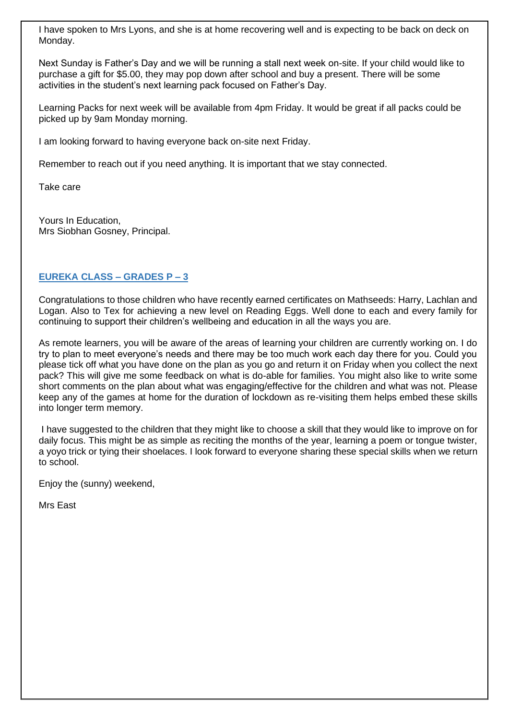I have spoken to Mrs Lyons, and she is at home recovering well and is expecting to be back on deck on Monday.

Next Sunday is Father's Day and we will be running a stall next week on-site. If your child would like to purchase a gift for \$5.00, they may pop down after school and buy a present. There will be some activities in the student's next learning pack focused on Father's Day.

Learning Packs for next week will be available from 4pm Friday. It would be great if all packs could be picked up by 9am Monday morning.

I am looking forward to having everyone back on-site next Friday.

Remember to reach out if you need anything. It is important that we stay connected.

Take care

Yours In Education, Mrs Siobhan Gosney, Principal.

### **EUREKA CLASS – GRADES P – 3**

Congratulations to those children who have recently earned certificates on Mathseeds: Harry, Lachlan and Logan. Also to Tex for achieving a new level on Reading Eggs. Well done to each and every family for continuing to support their children's wellbeing and education in all the ways you are.

As remote learners, you will be aware of the areas of learning your children are currently working on. I do try to plan to meet everyone's needs and there may be too much work each day there for you. Could you please tick off what you have done on the plan as you go and return it on Friday when you collect the next pack? This will give me some feedback on what is do-able for families. You might also like to write some short comments on the plan about what was engaging/effective for the children and what was not. Please keep any of the games at home for the duration of lockdown as re-visiting them helps embed these skills into longer term memory.

I have suggested to the children that they might like to choose a skill that they would like to improve on for daily focus. This might be as simple as reciting the months of the year, learning a poem or tongue twister, a yoyo trick or tying their shoelaces. I look forward to everyone sharing these special skills when we return to school.

Enjoy the (sunny) weekend,

Mrs East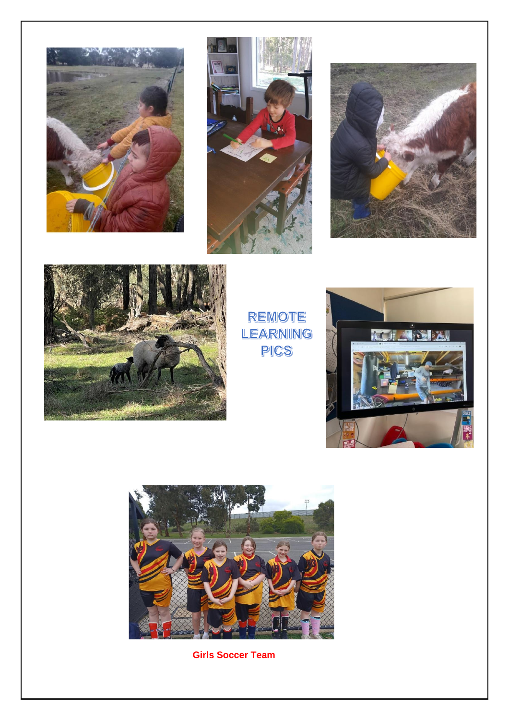







REMOTE LEARNING PICS





**Girls Soccer Team**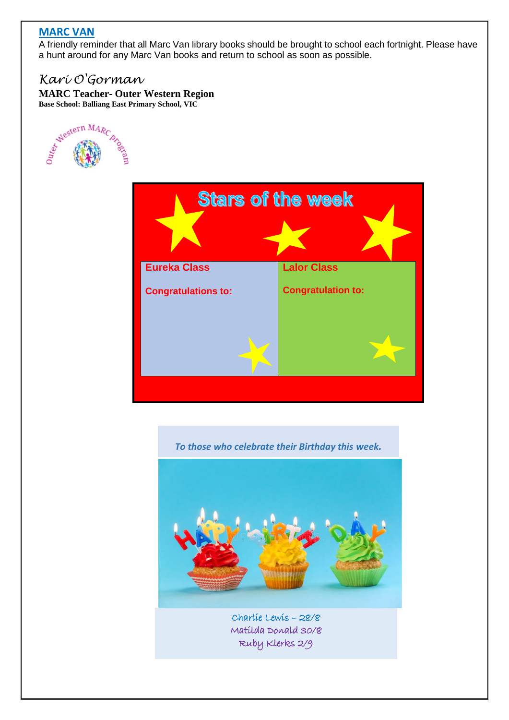## **MARC VAN**

A friendly reminder that all Marc Van library books should be brought to school each fortnight. Please have a hunt around for any Marc Van books and return to school as soon as possible.

## *Kari O'Gorman*

**MARC Teacher- Outer Western Region**





*To those who celebrate their Birthday this week.*



Matilda Donald 30/8 Ruby Klerks 2/9